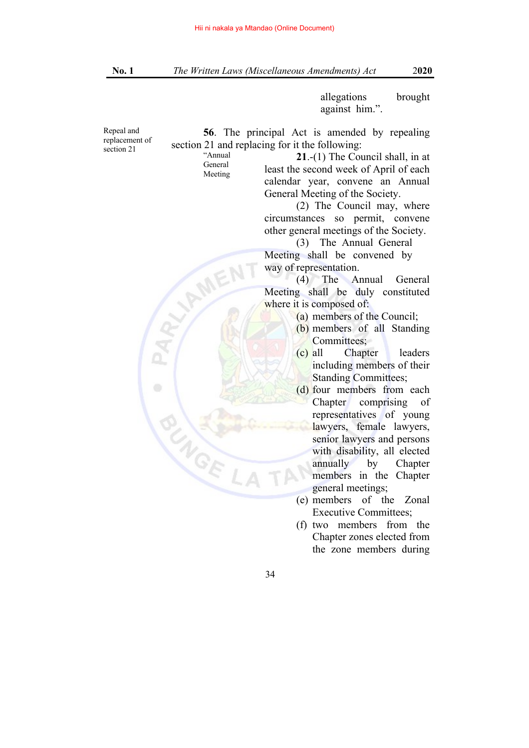allegations brought against him.".

Repeal and replacement of section 21

**56**. The principal Act is amended by repealing section 21 and replacing for it the following:

"Annual General Meeting

**VAME** 

**21**.-(1) The Council shall, in at least the second week of April of each calendar year, convene an Annual General Meeting of the Society.

 (2) The Council may, where circumstances so permit, convene other general meetings of the Society.

 (3) The Annual General Meeting shall be convened by way of representation.

 (4) The Annual General Meeting shall be duly constituted where it is composed of:

- (a) members of the Council;
- (b) members of all Standing Committees;
- (c) all Chapter leaders including members of their Standing Committees;
- (d) four members from each Chapter comprising of representatives of young lawyers, female lawyers, senior lawyers and persons with disability, all elected annually by Chapter members in the Chapter general meetings;
- (e) members of the Zonal Executive Committees;
- (f) two members from the Chapter zones elected from the zone members during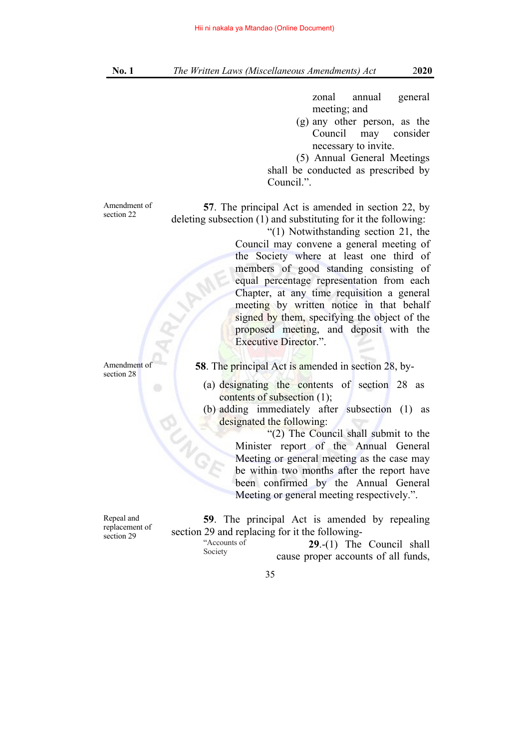zonal annual general meeting; and

(g) any other person, as the Council may consider necessary to invite.

 (5) Annual General Meetings shall be conducted as prescribed by Council.".

Amendment of section 22

**57**. The principal Act is amended in section 22, by deleting subsection (1) and substituting for it the following: "(1) Notwithstanding section 21, the

Council may convene a general meeting of the Society where at least one third of members of good standing consisting of equal percentage representation from each Chapter, at any time requisition a general meeting by written notice in that behalf signed by them, specifying the object of the proposed meeting, and deposit with the Executive Director.".

 **58**. The principal Act is amended in section 28, by-

- (a) designating the contents of section 28 as contents of subsection (1);
- (b) adding immediately after subsection (1) as designated the following:

 "(2) The Council shall submit to the Minister report of the Annual General Meeting or general meeting as the case may be within two months after the report have been confirmed by the Annual General Meeting or general meeting respectively.".

Repeal and replacement of section 29

Amendment of section 28

> **59**. The principal Act is amended by repealing section 29 and replacing for it the following- "Accounts of **29**.-(1) The Council shall

Society

cause proper accounts of all funds,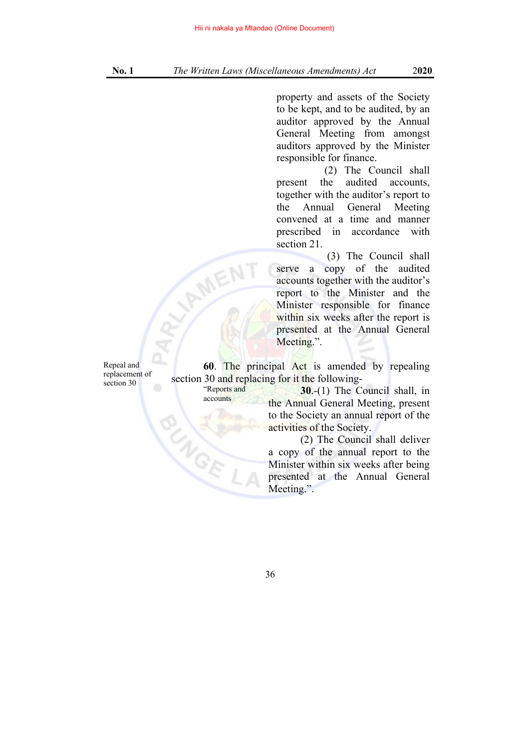property and assets of the Society to be kept, and to be audited, by an auditor approved by the Annual General Meeting from amongst auditors approved by the Minister responsible for finance.

 (2) The Council shall present the audited accounts, together with the auditor's report to the Annual General Meeting convened at a time and manner prescribed in accordance with section 21.

 (3) The Council shall serve a copy of the audited accounts together with the auditor's report to the Minister and the Minister responsible for finance within six weeks after the report is presented at the Annual General Meeting.".

Repeal and replacement of section 30

**60**. The principal Act is amended by repealing section 30 and replacing for it the following-

"Reports and accounts

NOE

**VAMEN** 

**30**.-(1) The Council shall, in the Annual General Meeting, present to the Society an annual report of the activities of the Society.

 (2) The Council shall deliver a copy of the annual report to the Minister within six weeks after being presented at the Annual General Meeting.".